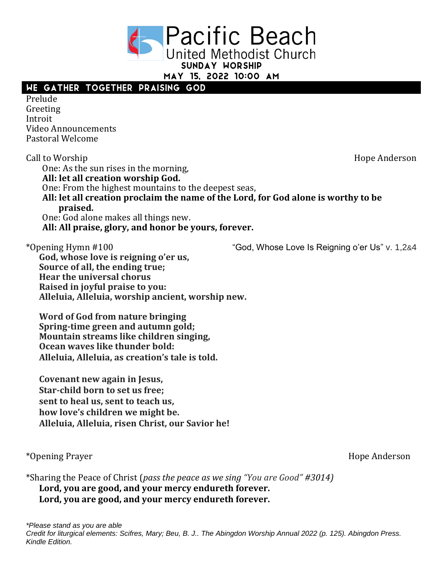**Pacific Beach** United Methodist Church

SUNDAY WORSHIP

MAY 15, 2022 10:00 AM

# WE GATHER TOGETHER PRAISING GOD

Prelude Greeting Introit Video Announcements Pastoral Welcome

Call to Worship **Hope Anderson** One: As the sun rises in the morning, **All: let all creation worship God.**  One: From the highest mountains to the deepest seas, **All: let all creation proclaim the name of the Lord, for God alone is worthy to be praised.**  One: God alone makes all things new. **All: All praise, glory, and honor be yours, forever.**

\*Opening Hymn #100 "God, Whose Love Is Reigning o'er Us" v. 1,2&4

**God, whose love is reigning o'er us, Source of all, the ending true; Hear the universal chorus Raised in joyful praise to you: Alleluia, Alleluia, worship ancient, worship new.**

**Word of God from nature bringing Spring-time green and autumn gold; Mountain streams like children singing, Ocean waves like thunder bold: Alleluia, Alleluia, as creation's tale is told.**

**Covenant new again in Jesus, Star-child born to set us free; sent to heal us, sent to teach us, how love's children we might be. Alleluia, Alleluia, risen Christ, our Savior he!**

\*Opening Prayer **Hope Anderson** 

\*Sharing the Peace of Christ (*pass the peace as we sing "You are Good" #3014)* **Lord, you are good, and your mercy endureth forever. Lord, you are good, and your mercy endureth forever.**

*\*Please stand as you are able Credit for liturgical elements: Scifres, Mary; Beu, B. J.. The Abingdon Worship Annual 2022 (p. 125). Abingdon Press. Kindle Edition.*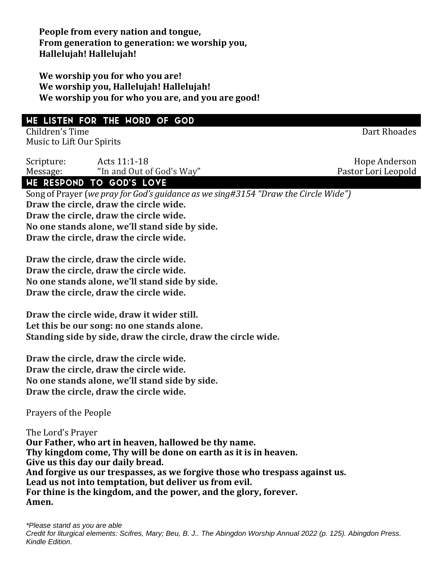**People from every nation and tongue, From generation to generation: we worship you, Hallelujah! Hallelujah!**

**We worship you for who you are! We worship you, Hallelujah! Hallelujah! We worship you for who you are, and you are good!**

# WE LISTEN FOR THE WORD OF GOD

Children's Time Dart Rhoades Music to Lift Our Spirits

Scripture: Acts 11:1-18 Acts 11:1-18 Message: "In and Out of God's Way" Pastor Lori Leopold

# WE RESPOND TO GOD'S LOVE

Song of Prayer (*we pray for God's guidance as we sing#3154 "Draw the Circle Wide")* **Draw the circle, draw the circle wide. Draw the circle, draw the circle wide. No one stands alone, we'll stand side by side. Draw the circle, draw the circle wide.**

**Draw the circle, draw the circle wide. Draw the circle, draw the circle wide. No one stands alone, we'll stand side by side. Draw the circle, draw the circle wide.**

**Draw the circle wide, draw it wider still. Let this be our song: no one stands alone. Standing side by side, draw the circle, draw the circle wide.**

**Draw the circle, draw the circle wide. Draw the circle, draw the circle wide. No one stands alone, we'll stand side by side. Draw the circle, draw the circle wide.**

Prayers of the People

The Lord's Prayer **Our Father, who art in heaven, hallowed be thy name. Thy kingdom come, Thy will be done on earth as it is in heaven. Give us this day our daily bread. And forgive us our trespasses, as we forgive those who trespass against us. Lead us not into temptation, but deliver us from evil. For thine is the kingdom, and the power, and the glory, forever. Amen.**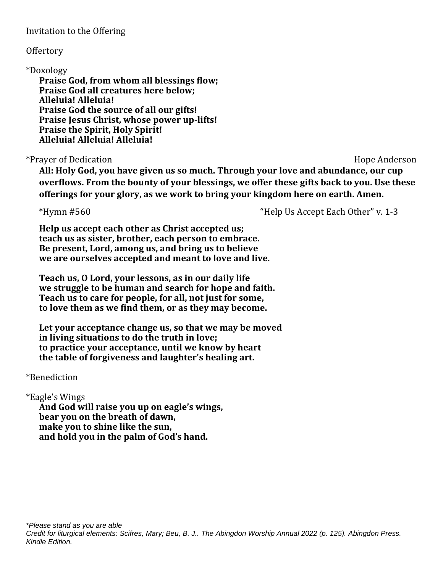Invitation to the Offering

#### **Offertory**

#### \*Doxology

**Praise God, from whom all blessings flow; Praise God all creatures here below; Alleluia! Alleluia! Praise God the source of all our gifts! Praise Jesus Christ, whose power up-lifts! Praise the Spirit, Holy Spirit! Alleluia! Alleluia! Alleluia!**

#### \*Prayer of Dedication **Anderson** Hope Anderson

**All: Holy God, you have given us so much. Through your love and abundance, our cup overflows. From the bounty of your blessings, we offer these gifts back to you. Use these offerings for your glory, as we work to bring your kingdom here on earth. Amen.**

\*Hymn #560 "Help Us Accept Each Other" v. 1-3

**Help us accept each other as Christ accepted us; teach us as sister, brother, each person to embrace. Be present, Lord, among us, and bring us to believe we are ourselves accepted and meant to love and live.**

**Teach us, O Lord, your lessons, as in our daily life we struggle to be human and search for hope and faith. Teach us to care for people, for all, not just for some, to love them as we find them, or as they may become.**

**Let your acceptance change us, so that we may be moved in living situations to do the truth in love; to practice your acceptance, until we know by heart the table of forgiveness and laughter's healing art.**

### \*Benediction

### \*Eagle's Wings

**And God will raise you up on eagle's wings, bear you on the breath of dawn, make you to shine like the sun, and hold you in the palm of God's hand.**